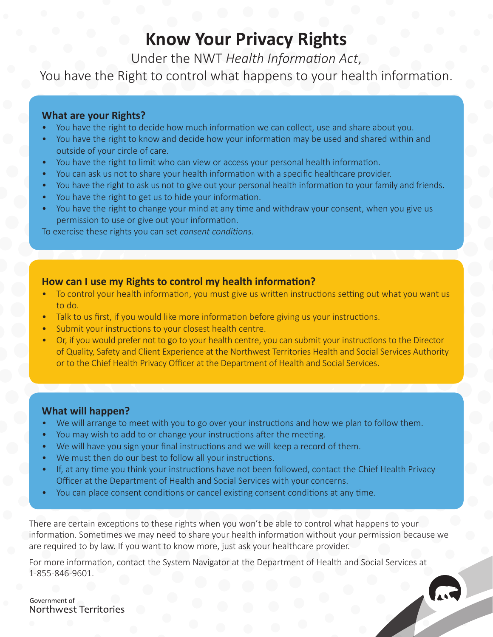## **Know Your Privacy Rights**

Under the NWT *Health Information Act*,

You have the Right to control what happens to your health information.

### **What are your Rights?**

- You have the right to decide how much information we can collect, use and share about you.
- You have the right to know and decide how your information may be used and shared within and outside of your circle of care.
- You have the right to limit who can view or access your personal health information.
- You can ask us not to share your health information with a specific healthcare provider.
- You have the right to ask us not to give out your personal health information to your family and friends.
- You have the right to get us to hide your information.
- You have the right to change your mind at any time and withdraw your consent, when you give us permission to use or give out your information.

To exercise these rights you can set *consent conditions*.

## **How can I use my Rights to control my health information?**

- To control your health information, you must give us written instructions setting out what you want us to do.
- Talk to us first, if you would like more information before giving us your instructions.
- Submit your instructions to your closest health centre.
- Or, if you would prefer not to go to your health centre, you can submit your instructions to the Director of Quality, Safety and Client Experience at the Northwest Territories Health and Social Services Authority or to the Chief Health Privacy Officer at the Department of Health and Social Services.

#### **What will happen?**

- We will arrange to meet with you to go over your instructions and how we plan to follow them.
- You may wish to add to or change your instructions after the meeting.
- We will have you sign your final instructions and we will keep a record of them.
- We must then do our best to follow all your instructions.
- If, at any time you think your instructions have not been followed, contact the Chief Health Privacy Officer at the Department of Health and Social Services with your concerns.
- You can place consent conditions or cancel existing consent conditions at any time.

There are certain exceptions to these rights when you won't be able to control what happens to your information. Sometimes we may need to share your health information without your permission because we are required to by law. If you want to know more, just ask your healthcare provider.

For more information, contact the System Navigator at the Department of Health and Social Services at 1-855-846-9601.